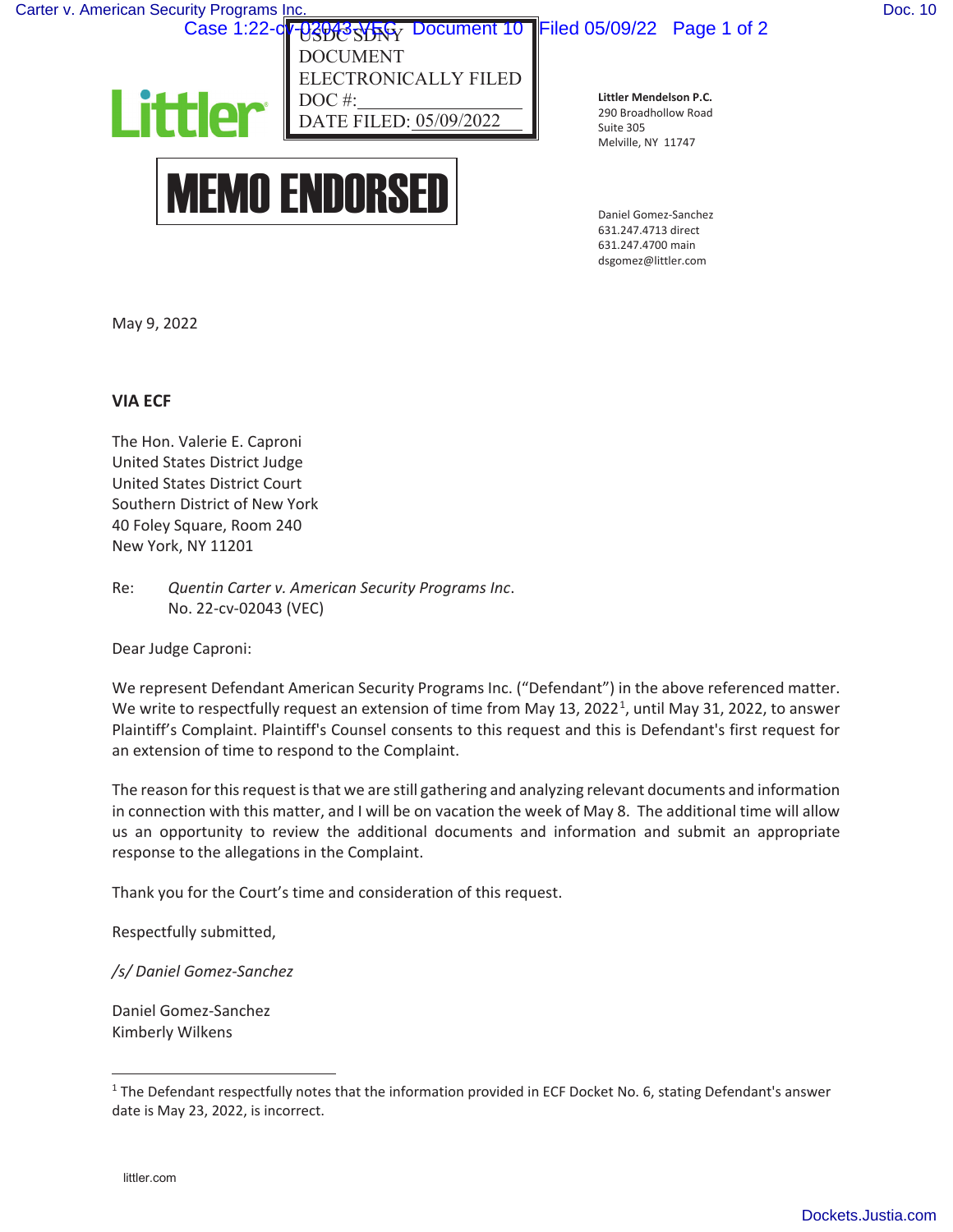USDC SDAY DOCUMENT ELECTRONICALLY FILED Case 1:22-c<mark>v-02013-VFG</mark> Document 10 Filed 05/09/22 Page 1 of 2

 $05/09/2022$ DOC# DATE FII



**Littler Mendelson P.C.**  290 Broadhollow Road Suite 305 Melville, NY 11747

Daniel Gomez-Sanchez 631.247.4713 direct 631.247.4700 main dsgomez@littler.com

May 9, 2022

## **VIA ECF**

The Hon. Valerie E. Caproni United States District Judge United States District Court Southern District of New York 40 Foley Square, Room 240 New York, NY 11201

Re: *Quentin Carter v. American Security Programs Inc*. No. 22-cv-02043 (VEC)

Dear Judge Caproni:

We represent Defendant American Security Programs Inc. ("Defendant") in the above referenced matter. We write to respectfully request an extension of time from May 13, 2022<sup>1</sup>, until May 31, 2022, to answer Plaintiff's Complaint. Plaintiff's Counsel consents to this request and this is Defendant's first request for an extension of time to respond to the Complaint.

The reason for this request is that we are still gathering and analyzing relevant documents and information in connection with this matter, and I will be on vacation the week of May 8. The additional time will allow us an opportunity to review the additional documents and information and submit an appropriate response to the allegations in the Complaint.

Thank you for the Court's time and consideration of this request.

Respectfully submitted,

*/s/ Daniel Gomez-Sanchez* 

Daniel Gomez-Sanchez Kimberly Wilkens

<sup>&</sup>lt;sup>1</sup> The Defendant respectfully notes that the information provided in ECF Docket No. 6, stating Defendant's answer date is May 23, 2022, is incorrect.